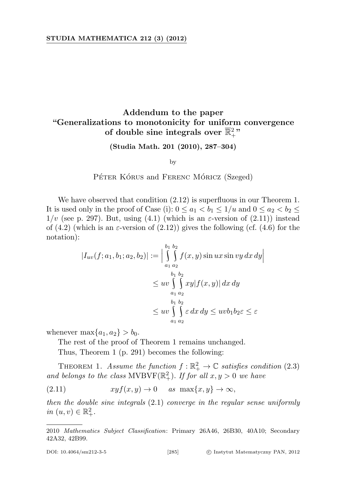## Addendum to the paper "Generalizations to monotonicity for uniform convergence of double sine integrals over  $\overline{\mathbb{R}}^2_+$ "

## (Studia Math. 201 (2010), 287–304)

by

PÉTER KÓRUS and FERENC MÓRICZ (Szeged)

We have observed that condition (2.12) is superfluous in our Theorem 1. It is used only in the proof of Case (i):  $0 \le a_1 < b_1 \le 1/u$  and  $0 \le a_2 < b_2 \le$  $1/v$  (see p. 297). But, using (4.1) (which is an  $\varepsilon$ -version of (2.11)) instead of (4.2) (which is an  $\varepsilon$ -version of (2.12)) gives the following (cf. (4.6) for the notation):

$$
|I_{uv}(f;a_1,b_1;a_2,b_2)| := \Big|\int_{a_1}^{b_1} \int_{a_2}^{b_2} f(x,y) \sin ux \sin vy \,dx \,dy\Big|
$$
  

$$
\leq uv \int_{a_1}^{b_1} \int_{a_2}^{b_2} xy |f(x,y)| \,dx \,dy
$$
  

$$
\leq uv \int_{b_1}^{b_1} \int_{b_2}^{b_2} \varepsilon \,dx \,dy \leq uv b_1 b_2 \varepsilon \leq \varepsilon
$$

whenever  $\max\{a_1, a_2\} > b_0$ .

The rest of the proof of Theorem 1 remains unchanged.

Thus, Theorem 1 (p. 291) becomes the following:

THEOREM 1. Assume the function  $f : \mathbb{R}_+^2 \to \mathbb{C}$  satisfies condition (2.3) and belongs to the class MVBVF( $\mathbb{R}^2_+$ ). If for all  $x, y > 0$  we have

(2.11)  $xyf(x, y) \rightarrow 0$  as  $\max\{x, y\} \rightarrow \infty$ ,

then the double sine integrals (2.1) converge in the regular sense uniformly in  $(u, v) \in \mathbb{R}_+^2$ .

<sup>2010</sup> Mathematics Subject Classification: Primary 26A46, 26B30, 40A10; Secondary 42A32, 42B99.